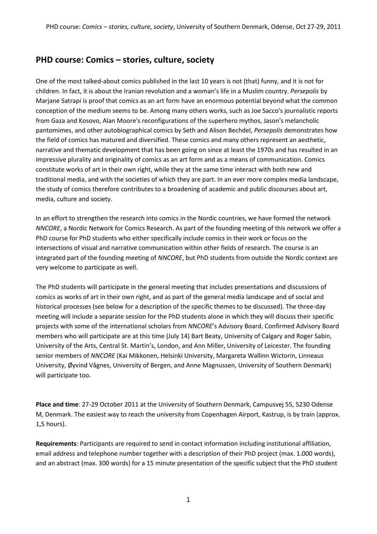# **PHD course: Comics – stories, culture, society**

One of the most talked-about comics published in the last 10 years is not (that) funny, and it is not for children. In fact, it is about the Iranian revolution and a woman's life in a Muslim country. *Persepolis* by Marjane Satrapi is proof that comics as an art form have an enormous potential beyond what the common conception of the medium seems to be. Among many others works, such as Joe Sacco's journalistic reports from Gaza and Kosovo, Alan Moore's reconfigurations of the superhero mythos, Jason's melancholic pantomimes, and other autobiographical comics by Seth and Alison Bechdel, *Persepolis* demonstrates how the field of comics has matured and diversified. These comics and many others represent an aesthetic, narrative and thematic development that has been going on since at least the 1970s and has resulted in an impressive plurality and originality of comics as an art form and as a means of communication. Comics constitute works of art in their own right, while they at the same time interact with both new and traditional media, and with the societies of which they are part. In an ever more complex media landscape, the study of comics therefore contributes to a broadening of academic and public discourses about art, media, culture and society.

In an effort to strengthen the research into comics in the Nordic countries, we have formed the network *NNCORE*, a Nordic Network for Comics Research. As part of the founding meeting of this network we offer a PhD course for PhD students who either specifically include comics in their work or focus on the intersections of visual and narrative communication within other fields of research. The course is an integrated part of the founding meeting of *NNCORE*, but PhD students from outside the Nordic context are very welcome to participate as well.

The PhD students will participate in the general meeting that includes presentations and discussions of comics as works of art in their own right, and as part of the general media landscape and of social and historical processes (see below for a description of the specific themes to be discussed). The three-day meeting will include a separate session for the PhD students alone in which they will discuss their specific projects with some of the international scholars from *NNCORE*'s Advisory Board. Confirmed Advisory Board members who will participate are at this time (July 14) Bart Beaty, University of Calgary and Roger Sabin, University of the Arts, Central St. Martin's, London, and Ann Miller, University of Leicester. The founding senior members of *NNCORE* (Kai Mikkonen, Helsinki University, Margareta Wallinn Wictorin, Linneaus University, Øyvind Vågnes, University of Bergen, and Anne Magnussen, University of Southern Denmark) will participate too.

**Place and time**: 27-29 October 2011 at the University of Southern Denmark, Campusvej 55, 5230 Odense M, Denmark. The easiest way to reach the university from Copenhagen Airport, Kastrup, is by train (approx. 1,5 hours).

**Requirements**: Participants are required to send in contact information including institutional affiliation, email address and telephone number together with a description of their PhD project (max. 1.000 words), and an abstract (max. 300 words) for a 15 minute presentation of the specific subject that the PhD student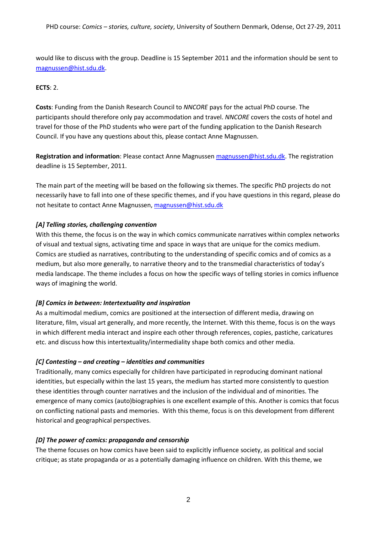would like to discuss with the group. Deadline is 15 September 2011 and the information should be sent to [magnussen@hist.sdu.dk.](mailto:magnussen@hist.sdu.dk)

## **ECTS**: 2.

**Costs**: Funding from the Danish Research Council to *NNCORE* pays for the actual PhD course. The participants should therefore only pay accommodation and travel. *NNCORE* covers the costs of hotel and travel for those of the PhD students who were part of the funding application to the Danish Research Council. If you have any questions about this, please contact Anne Magnussen.

**Registration and information**: Please contact Anne Magnussen [magnussen@hist.sdu.dk.](mailto:magnussen@hist.sdu.dk) The registration deadline is 15 September, 2011.

The main part of the meeting will be based on the following six themes. The specific PhD projects do not necessarily have to fall into one of these specific themes, and if you have questions in this regard, please do not hesitate to contact Anne Magnussen, [magnussen@hist.sdu.dk](mailto:magnussen@hist.sdu.dk)

## *[A] Telling stories, challenging convention*

With this theme, the focus is on the way in which comics communicate narratives within complex networks of visual and textual signs, activating time and space in ways that are unique for the comics medium. Comics are studied as narratives, contributing to the understanding of specific comics and of comics as a medium, but also more generally, to narrative theory and to the transmedial characteristics of today's media landscape. The theme includes a focus on how the specific ways of telling stories in comics influence ways of imagining the world.

#### *[B] Comics in between: Intertextuality and inspiration*

As a multimodal medium, comics are positioned at the intersection of different media, drawing on literature, film, visual art generally, and more recently, the Internet. With this theme, focus is on the ways in which different media interact and inspire each other through references, copies, pastiche, caricatures etc. and discuss how this intertextuality/intermediality shape both comics and other media.

#### *[C] Contesting – and creating – identities and communities*

Traditionally, many comics especially for children have participated in reproducing dominant national identities, but especially within the last 15 years, the medium has started more consistently to question these identities through counter narratives and the inclusion of the individual and of minorities. The emergence of many comics (auto)biographies is one excellent example of this. Another is comics that focus on conflicting national pasts and memories. With this theme, focus is on this development from different historical and geographical perspectives.

#### *[D] The power of comics: propaganda and censorship*

The theme focuses on how comics have been said to explicitly influence society, as political and social critique; as state propaganda or as a potentially damaging influence on children. With this theme, we